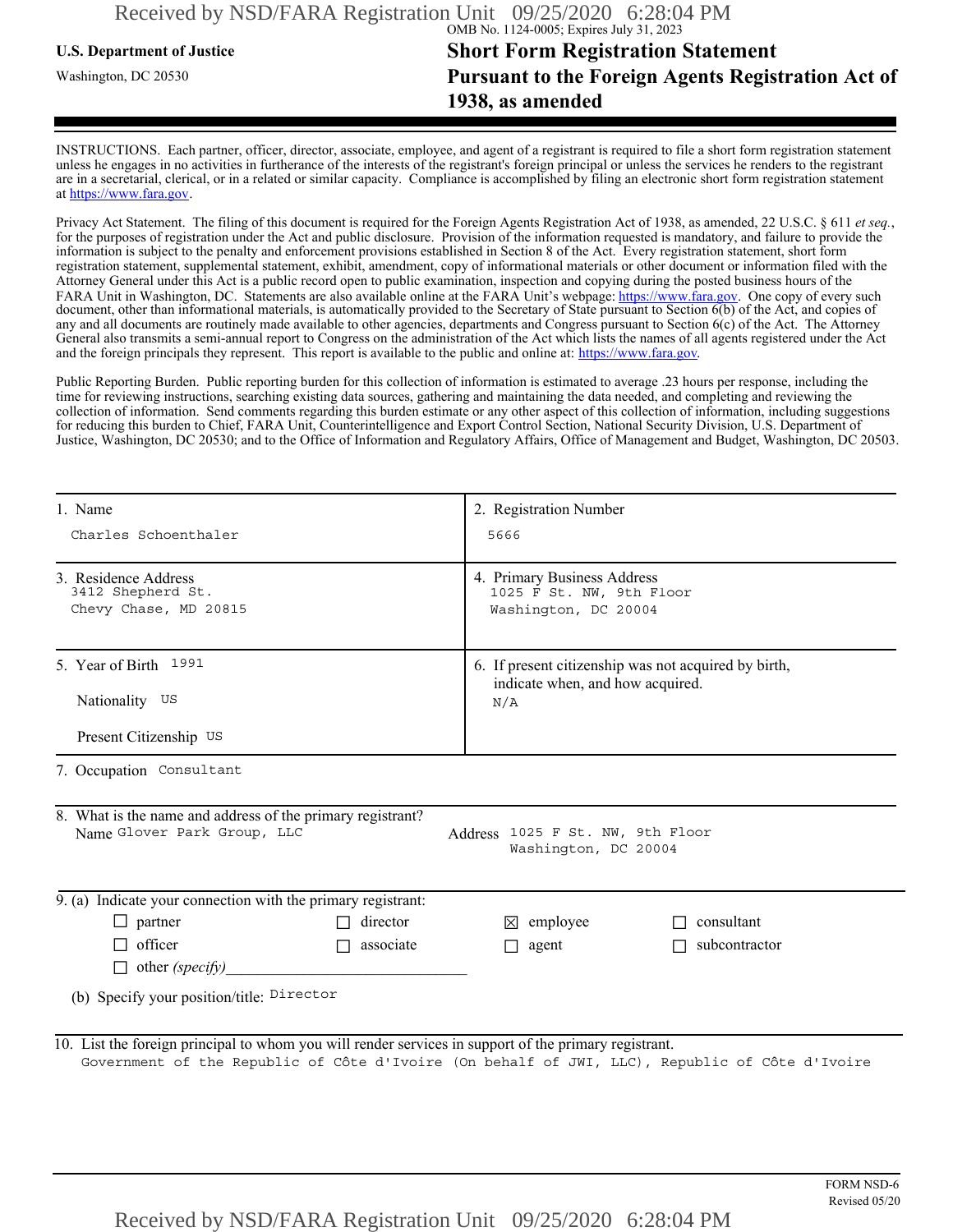## **U.S. Department of Justice Short Form Registration Statement** Washington, DC 20530 **Pursuant to the Foreign Agents Registration Act of 1938, as amended**

INSTRUCTIONS. Each partner, officer, director, associate, employee, and agent of a registrant is required to file a short form registration statement unless he engages in no activities in furtherance of the interests of the registrant's foreign principal or unless the services he renders to the registrant are in a secretarial, clerical, or in a related or similar capacity. Compliance is accomplished by filing an electronic short form registration statement at https://www.fara.gov.

Privacy Act Statement. The filing of this document is required for the Foreign Agents Registration Act of 1938, as amended, 22 U.S.C. § 611 *et seq.*, for the purposes of registration under the Act and public disclosure. Provision of the information requested is mandatory, and failure to provide the information is subject to the penalty and enforcement provisions established in Section 8 of the Act. Every registration statement, short form registration statement, supplemental statement, exhibit, amendment, copy of informational materials or other document or information filed with the Attorney General under this Act is a public record open to public examination, inspection and copying during the posted business hours of the FARA Unit in Washington, DC. Statements are also available online at the FARA Unit's webpage: https://www.fara.gov. One copy of every such document, other than informational materials, is automatically provided to the Secretary of State pursuant to Section 6(b) of the Act, and copies of any and all documents are routinely made available to other agencies, departments and Congress pursuant to Section 6(c) of the Act. The Attorney General also transmits a semi-annual report to Congress on the administration of the Act which lists the names of all agents registered under the Act and the foreign principals they represent. This report is available to the public and online at: https://www.fara.gov.

Public Reporting Burden. Public reporting burden for this collection of information is estimated to average .23 hours per response, including the time for reviewing instructions, searching existing data sources, gathering and maintaining the data needed, and completing and reviewing the collection of information. Send comments regarding this burden estimate or any other aspect of this collection of information, including suggestions for reducing this burden to Chief, FARA Unit, Counterintelligence and Export Control Section, National Security Division, U.S. Department of Justice, Washington, DC 20530; and to the Office of Information and Regulatory Affairs, Office of Management and Budget, Washington, DC 20503.

| 1. Name                                                                                                                                                                                                 |                                                                                                 | 2. Registration Number<br>5666<br>4. Primary Business Address<br>1025 F St. NW, 9th Floor<br>Washington, DC 20004 |                      |                                    |  |
|---------------------------------------------------------------------------------------------------------------------------------------------------------------------------------------------------------|-------------------------------------------------------------------------------------------------|-------------------------------------------------------------------------------------------------------------------|----------------------|------------------------------------|--|
| Charles Schoenthaler                                                                                                                                                                                    |                                                                                                 |                                                                                                                   |                      |                                    |  |
| 3. Residence Address<br>3412 Shepherd St.<br>Chevy Chase, MD 20815                                                                                                                                      |                                                                                                 |                                                                                                                   |                      |                                    |  |
| 5. Year of Birth 1991                                                                                                                                                                                   | 6. If present citizenship was not acquired by birth,<br>indicate when, and how acquired.<br>N/A |                                                                                                                   |                      |                                    |  |
| Nationality US                                                                                                                                                                                          |                                                                                                 |                                                                                                                   |                      |                                    |  |
| Present Citizenship US                                                                                                                                                                                  |                                                                                                 |                                                                                                                   |                      |                                    |  |
| 7. Occupation Consultant                                                                                                                                                                                |                                                                                                 |                                                                                                                   |                      |                                    |  |
| 8. What is the name and address of the primary registrant?<br>Name Glover Park Group, LLC                                                                                                               |                                                                                                 | Address 1025 F St. NW, 9th Floor<br>Washington, DC 20004                                                          |                      |                                    |  |
| 9. (a) Indicate your connection with the primary registrant:                                                                                                                                            |                                                                                                 |                                                                                                                   |                      |                                    |  |
| $\Box$ partner                                                                                                                                                                                          | $\Box$ director                                                                                 | $\boxtimes$ employee                                                                                              | $\Box$ consultant    |                                    |  |
| $\Box$ officer                                                                                                                                                                                          | $\Box$ associate                                                                                | $\Box$ agent                                                                                                      | $\Box$ subcontractor |                                    |  |
| $\Box$ other (specify)                                                                                                                                                                                  |                                                                                                 |                                                                                                                   |                      |                                    |  |
| (b) Specify your position/title: Director                                                                                                                                                               |                                                                                                 |                                                                                                                   |                      |                                    |  |
| 10. List the foreign principal to whom you will render services in support of the primary registrant.<br>Government of the Republic of Côte d'Ivoire (On behalf of JWI, LLC), Republic of Côte d'Ivoire |                                                                                                 |                                                                                                                   |                      |                                    |  |
| Received by NSD/FARA Registration Unit 09/25/2020 6:28:04 PM                                                                                                                                            |                                                                                                 |                                                                                                                   |                      | <b>FORM NSD-6</b><br>Revised 05/20 |  |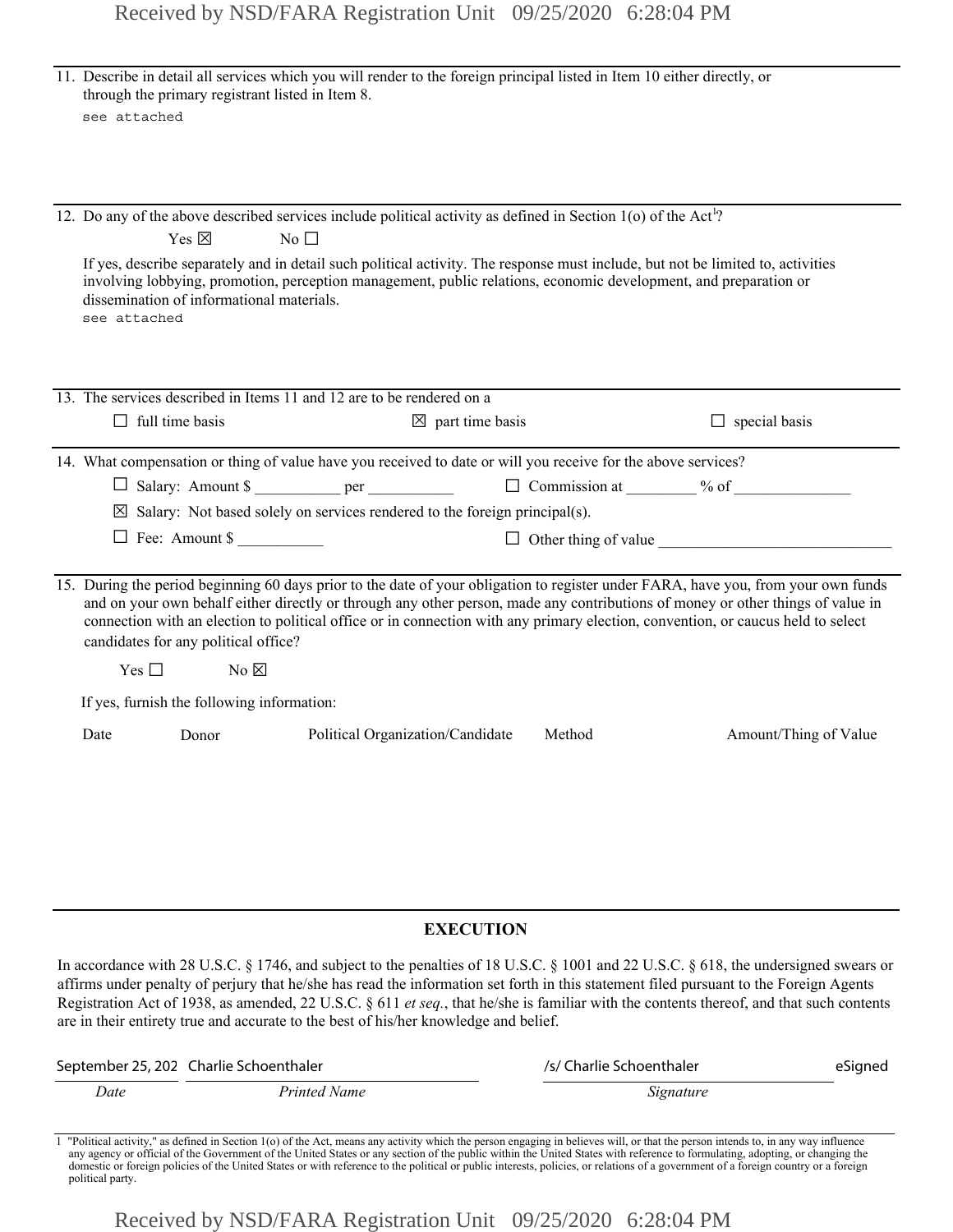|                                                                                                                                                                                                                                                                                                                                                                                                                                                   | see attached           | through the primary registrant listed in Item 8.             | 11. Describe in detail all services which you will render to the foreign principal listed in Item 10 either directly, or                                                                                                                                                                                                                                                                                                                                                                                              |                             |                                                                         |                       |         |  |
|---------------------------------------------------------------------------------------------------------------------------------------------------------------------------------------------------------------------------------------------------------------------------------------------------------------------------------------------------------------------------------------------------------------------------------------------------|------------------------|--------------------------------------------------------------|-----------------------------------------------------------------------------------------------------------------------------------------------------------------------------------------------------------------------------------------------------------------------------------------------------------------------------------------------------------------------------------------------------------------------------------------------------------------------------------------------------------------------|-----------------------------|-------------------------------------------------------------------------|-----------------------|---------|--|
|                                                                                                                                                                                                                                                                                                                                                                                                                                                   | see attached           | Yes $\boxtimes$<br>dissemination of informational materials. | 12. Do any of the above described services include political activity as defined in Section 1(o) of the Act <sup>1</sup> ?<br>$No$ $\Box$<br>If yes, describe separately and in detail such political activity. The response must include, but not be limited to, activities<br>involving lobbying, promotion, perception management, public relations, economic development, and preparation or                                                                                                                      |                             |                                                                         |                       |         |  |
|                                                                                                                                                                                                                                                                                                                                                                                                                                                   | $\Box$ full time basis |                                                              | 13. The services described in Items 11 and 12 are to be rendered on a                                                                                                                                                                                                                                                                                                                                                                                                                                                 | $\boxtimes$ part time basis |                                                                         | $\Box$ special basis  |         |  |
|                                                                                                                                                                                                                                                                                                                                                                                                                                                   |                        | $\Box$ Fee: Amount \$                                        | 14. What compensation or thing of value have you received to date or will you receive for the above services?<br>□ Salary: Amount \$ _____________ per ____________<br>$\boxtimes$ Salary: Not based solely on services rendered to the foreign principal(s).                                                                                                                                                                                                                                                         |                             | $\Box$ Commission at $\qquad\qquad\%$ of<br>$\Box$ Other thing of value |                       |         |  |
| 15. During the period beginning 60 days prior to the date of your obligation to register under FARA, have you, from your own funds<br>and on your own behalf either directly or through any other person, made any contributions of money or other things of value in<br>connection with an election to political office or in connection with any primary election, convention, or caucus held to select<br>candidates for any political office? |                        |                                                              |                                                                                                                                                                                                                                                                                                                                                                                                                                                                                                                       |                             |                                                                         |                       |         |  |
|                                                                                                                                                                                                                                                                                                                                                                                                                                                   | Yes $\square$          | $No \boxtimes$                                               |                                                                                                                                                                                                                                                                                                                                                                                                                                                                                                                       |                             |                                                                         |                       |         |  |
|                                                                                                                                                                                                                                                                                                                                                                                                                                                   | Date                   | If yes, furnish the following information:<br>Donor          | Political Organization/Candidate                                                                                                                                                                                                                                                                                                                                                                                                                                                                                      |                             | Method                                                                  | Amount/Thing of Value |         |  |
|                                                                                                                                                                                                                                                                                                                                                                                                                                                   |                        |                                                              |                                                                                                                                                                                                                                                                                                                                                                                                                                                                                                                       |                             |                                                                         |                       |         |  |
|                                                                                                                                                                                                                                                                                                                                                                                                                                                   |                        |                                                              | In accordance with 28 U.S.C. § 1746, and subject to the penalties of 18 U.S.C. § 1001 and 22 U.S.C. § 618, the undersigned swears or<br>affirms under penalty of perjury that he/she has read the information set forth in this statement filed pursuant to the Foreign Agents<br>Registration Act of 1938, as amended, 22 U.S.C. $\S 611$ et seq., that he/she is familiar with the contents thereof, and that such contents<br>are in their entirety true and accurate to the best of his/her knowledge and belief. | <b>EXECUTION</b>            |                                                                         |                       |         |  |
|                                                                                                                                                                                                                                                                                                                                                                                                                                                   |                        | September 25, 202 Charlie Schoenthaler                       |                                                                                                                                                                                                                                                                                                                                                                                                                                                                                                                       |                             | /s/ Charlie Schoenthaler                                                |                       | eSigned |  |
| <b>Printed Name</b><br>Date                                                                                                                                                                                                                                                                                                                                                                                                                       |                        |                                                              |                                                                                                                                                                                                                                                                                                                                                                                                                                                                                                                       | Signature                   |                                                                         |                       |         |  |

Political activity," as defined in Section 1(o) of the Act, means any activity which the person engaging in believes will, or that the person intends to, in any way influence any agency or official of the Government of the domestic or foreign policies of the United States or with reference to the political or public interests, policies, or relations of a government of a foreign country or a foreign political party.

Received by NSD/FARA Registration Unit 09/25/2020 6:28:04 PM